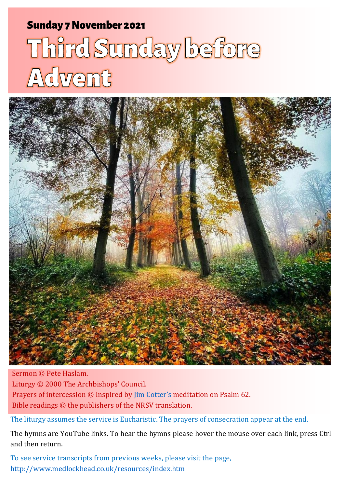# Sunday 7 November 2021 1 Third Sunday 7 November 2021 1 Third Sunday Before Adventure Adventure Adventure Adve

# Third Sunday before Advent



Sermon © Pete Haslam. Liturgy © 2000 The Archbishops' Council. Prayers of intercession © Inspired by [Jim Cotter's](http://www.layanglicana.org/blog/2015/11/04/intercessions-for-3rd-sunday-before-advent-year-b-series-2-8-november-2015/?doing_wp_cron=1635943023.2374050617218017578125) meditation on Psalm 62. Bible readings © the publishers of the NRSV translation.

The liturgy assumes the service is Eucharistic. The prayers of consecration appear at the end.

The hymns are YouTube links. To hear the hymns please hover the mouse over each link, press Ctrl and then return.

To see service transcripts from previous weeks, please visit the page, <http://www.medlockhead.co.uk/resources/index.htm>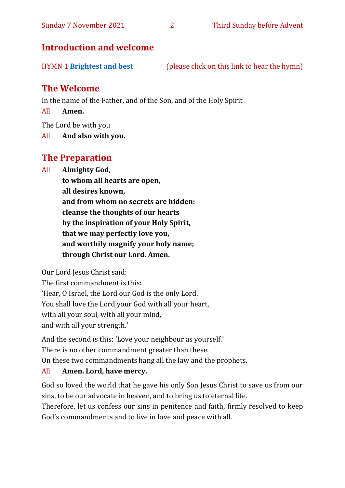# **Introduction and welcome**

| <b>HYMN 1 Brightest and best</b> | (please click on this link to hear the hymn) |
|----------------------------------|----------------------------------------------|
|                                  |                                              |

# **The Welcome**

In the name of the Father, and of the Son, and of the Holy Spirit

All **Amen.**

The Lord be with you

All **And also with you.**

# **The Preparation**

All **Almighty God,**

**to whom all hearts are open, all desires known, and from whom no secrets are hidden: cleanse the thoughts of our hearts by the inspiration of your Holy Spirit, that we may perfectly love you, and worthily magnify your holy name; through Christ our Lord. Amen.**

Our Lord Jesus Christ said:

The first commandment is this: 'Hear, O Israel, the Lord our God is the only Lord. You shall love the Lord your God with all your heart, with all your soul, with all your mind, and with all your strength.'

And the second is this: 'Love your neighbour as yourself.'

There is no other commandment greater than these.

On these two commandments hang all the law and the prophets.

#### All **Amen. Lord, have mercy.**

God so loved the world that he gave his only Son Jesus Christ to save us from our sins, to be our advocate in heaven, and to bring us to eternal life.

Therefore, let us confess our sins in penitence and faith, firmly resolved to keep God's commandments and to live in love and peace with all.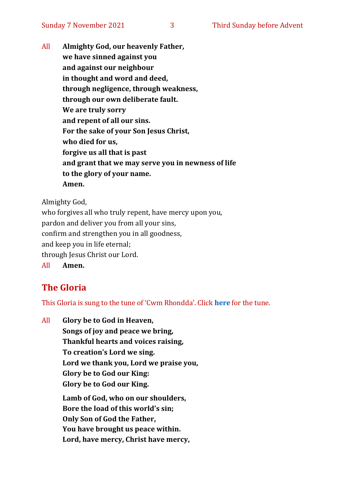All **Almighty God, our heavenly Father, we have sinned against you and against our neighbour in thought and word and deed, through negligence, through weakness, through our own deliberate fault. We are truly sorry and repent of all our sins. For the sake of your Son Jesus Christ, who died for us, forgive us all that is past and grant that we may serve you in newness of life to the glory of your name. Amen.**

Almighty God,

who forgives all who truly repent, have mercy upon you, pardon and deliver you from all your sins, confirm and strengthen you in all goodness, and keep you in life eternal; through Jesus Christ our Lord. All **Amen.**

# **The Gloria**

This Gloria is sung to the tune of 'Cwm Rhondda'. Click **[here](about:blank)** for the tune.

All **Glory be to God in Heaven, Songs of joy and peace we bring, Thankful hearts and voices raising, To creation's Lord we sing. Lord we thank you, Lord we praise you, Glory be to God our King: Glory be to God our King. Lamb of God, who on our shoulders, Bore the load of this world's sin; Only Son of God the Father, You have brought us peace within. Lord, have mercy, Christ have mercy,**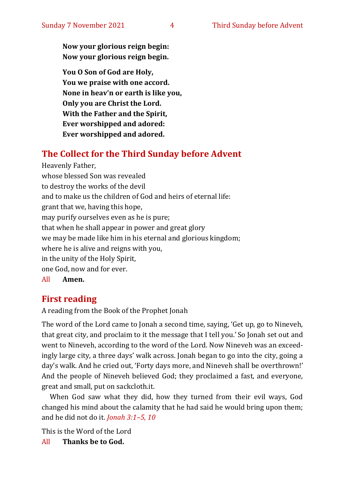**Now your glorious reign begin: Now your glorious reign begin.**

**You O Son of God are Holy, You we praise with one accord. None in heav'n or earth is like you, Only you are Christ the Lord. With the Father and the Spirit, Ever worshipped and adored: Ever worshipped and adored.**

# **The Collect for the Third Sunday before Advent**

Heavenly Father, whose blessed Son was revealed to destroy the works of the devil and to make us the children of God and heirs of eternal life: grant that we, having this hope, may purify ourselves even as he is pure; that when he shall appear in power and great glory we may be made like him in his eternal and glorious kingdom; where he is alive and reigns with you, in the unity of the Holy Spirit, one God, now and for ever. All **Amen.**

# **First reading**

A reading from the Book of the Prophet Jonah

The word of the Lord came to Jonah a second time, saying, 'Get up, go to Nineveh, that great city, and proclaim to it the message that I tell you.' So Jonah set out and went to Nineveh, according to the word of the Lord. Now Nineveh was an exceedingly large city, a three days' walk across. Jonah began to go into the city, going a day's walk. And he cried out, 'Forty days more, and Nineveh shall be overthrown!' And the people of Nineveh believed God; they proclaimed a fast, and everyone, great and small, put on sackcloth.it.

When God saw what they did, how they turned from their evil ways, God changed his mind about the calamity that he had said he would bring upon them; and he did not do it. *Jonah 3:1–5, 10*

This is the Word of the Lord

All **Thanks be to God.**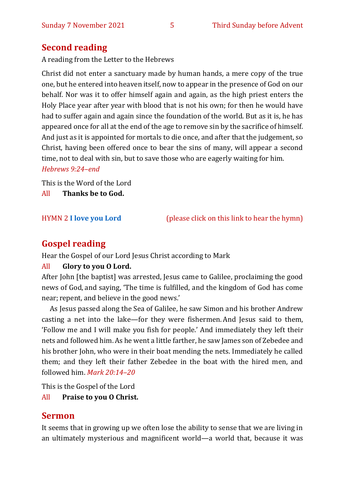# **Second reading**

A reading from the Letter to the Hebrews

Christ did not enter a sanctuary made by human hands, a mere copy of the true one, but he entered into heaven itself, now to appear in the presence of God on our behalf. Nor was it to offer himself again and again, as the high priest enters the Holy Place year after year with blood that is not his own; for then he would have had to suffer again and again since the foundation of the world. But as it is, he has appeared once for all at the end of the age to remove sin by the sacrifice of himself. And just as it is appointed for mortals to die once, and after that the judgement, so Christ, having been offered once to bear the sins of many, will appear a second time, not to deal with sin, but to save those who are eagerly waiting for him.

#### *Hebrews 9:24–end*

This is the Word of the Lord

All **Thanks be to God.**

HYMN 2 **[I love you Lord](https://www.youtube.com/watch?v=P3fuvCvid2E)** (please click on this link to hear the hymn)

# **Gospel reading**

Hear the Gospel of our Lord Jesus Christ according to Mark

#### All **Glory to you O Lord.**

After John [the baptist] was arrested, Jesus came to Galilee, proclaiming the good news of God, and saying, 'The time is fulfilled, and the kingdom of God has come near; repent, and believe in the good news.'

As Jesus passed along the Sea of Galilee, he saw Simon and his brother Andrew casting a net into the lake—for they were fishermen. And Jesus said to them, 'Follow me and I will make you fish for people.' And immediately they left their nets and followed him.As he went a little farther, he saw James son of Zebedee and his brother John, who were in their boat mending the nets. Immediately he called them; and they left their father Zebedee in the boat with the hired men, and followed him. *Mark 20:14–20* 

This is the Gospel of the Lord

All **Praise to you O Christ.** 

# **Sermon**

It seems that in growing up we often lose the ability to sense that we are living in an ultimately mysterious and magnificent world—a world that, because it was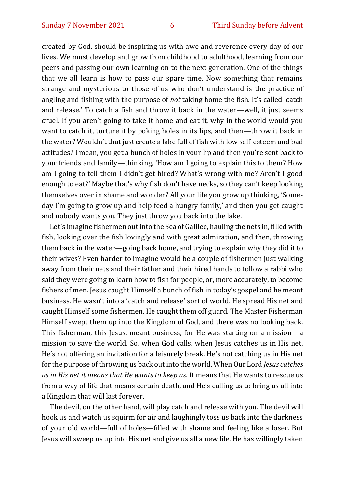created by God, should be inspiring us with awe and reverence every day of our lives. We must develop and grow from childhood to adulthood, learning from our peers and passing our own learning on to the next generation. One of the things that we all learn is how to pass our spare time. Now something that remains strange and mysterious to those of us who don't understand is the practice of angling and fishing with the purpose of *not* taking home the fish. It's called 'catch and release.' To catch a fish and throw it back in the water—well, it just seems cruel. If you aren't going to take it home and eat it, why in the world would you want to catch it, torture it by poking holes in its lips, and then—throw it back in the water? Wouldn't that just create a lake full of fish with low self-esteem and bad attitudes? I mean, you get a bunch of holes in your lip and then you're sent back to your friends and family—thinking, 'How am I going to explain this to them? How am I going to tell them I didn't get hired? What's wrong with me? Aren't I good enough to eat?' Maybe that's why fish don't have necks, so they can't keep looking themselves over in shame and wonder? All your life you grow up thinking, 'Someday I'm going to grow up and help feed a hungry family,' and then you get caught and nobody wants you. They just throw you back into the lake.

Let`s imagine fishermen out into the Sea of Galilee, hauling the nets in, filled with fish, looking over the fish lovingly and with great admiration, and then, throwing them back in the water—going back home, and trying to explain why they did it to their wives? Even harder to imagine would be a couple of fishermen just walking away from their nets and their father and their hired hands to follow a rabbi who said they were going to learn how to fish for people, or, more accurately, to become fishers of men. Jesus caught Himself a bunch of fish in today's gospel and he meant business. He wasn't into a 'catch and release' sort of world. He spread His net and caught Himself some fishermen. He caught them off guard. The Master Fisherman Himself swept them up into the Kingdom of God, and there was no looking back. This fisherman, this Jesus, meant business, for He was starting on a mission—a mission to save the world. So, when God calls, when Jesus catches us in His net, He's not offering an invitation for a leisurely break. He's not catching us in His net for the purpose of throwing us back out into the world. When Our Lord *Jesus catches us in His net it means that He wants to keep us*. It means that He wants to rescue us from a way of life that means certain death, and He's calling us to bring us all into a Kingdom that will last forever.

The devil, on the other hand, will play catch and release with you. The devil will hook us and watch us squirm for air and laughingly toss us back into the darkness of your old world—full of holes—filled with shame and feeling like a loser. But Jesus will sweep us up into His net and give us all a new life. He has willingly taken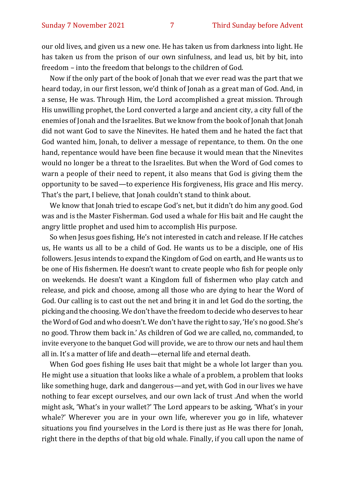our old lives, and given us a new one. He has taken us from darkness into light. He has taken us from the prison of our own sinfulness, and lead us, bit by bit, into freedom – into the freedom that belongs to the children of God.

Now if the only part of the book of Jonah that we ever read was the part that we heard today, in our first lesson, we'd think of Jonah as a great man of God. And, in a sense, He was. Through Him, the Lord accomplished a great mission. Through His unwilling prophet, the Lord converted a large and ancient city, a city full of the enemies of Jonah and the Israelites. But we know from the book of Jonah that Jonah did not want God to save the Ninevites. He hated them and he hated the fact that God wanted him, Jonah, to deliver a message of repentance, to them. On the one hand, repentance would have been fine because it would mean that the Ninevites would no longer be a threat to the Israelites. But when the Word of God comes to warn a people of their need to repent, it also means that God is giving them the opportunity to be saved—to experience His forgiveness, His grace and His mercy. That's the part, I believe, that Jonah couldn't stand to think about.

We know that Jonah tried to escape God's net, but it didn't do him any good. God was and is the Master Fisherman. God used a whale for His bait and He caught the angry little prophet and used him to accomplish His purpose.

So when Jesus goes fishing, He's not interested in catch and release. If He catches us, He wants us all to be a child of God. He wants us to be a disciple, one of His followers. Jesus intends to expand the Kingdom of God on earth, and He wants us to be one of His fishermen. He doesn't want to create people who fish for people only on weekends. He doesn't want a Kingdom full of fishermen who play catch and release, and pick and choose, among all those who are dying to hear the Word of God. Our calling is to cast out the net and bring it in and let God do the sorting, the picking and the choosing. We don't have the freedom to decide who deserves to hear the Word of God and who doesn't. We don't have the right to say, 'He's no good. She's no good. Throw them back in.' As children of God we are called, no, commanded, to invite everyone to the banquet God will provide, we are to throw our nets and haul them all in. It's a matter of life and death—eternal life and eternal death.

When God goes fishing He uses bait that might be a whole lot larger than you. He might use a situation that looks like a whale of a problem, a problem that looks like something huge, dark and dangerous—and yet, with God in our lives we have nothing to fear except ourselves, and our own lack of trust .And when the world might ask, 'What's in your wallet?' The Lord appears to be asking, 'What's in your whale?' Wherever you are in your own life, wherever you go in life, whatever situations you find yourselves in the Lord is there just as He was there for Jonah, right there in the depths of that big old whale. Finally, if you call upon the name of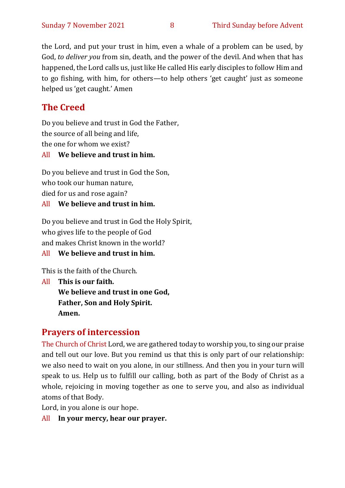the Lord, and put your trust in him, even a whale of a problem can be used, by God, *to deliver you* from sin, death, and the power of the devil. And when that has happened, the Lord calls us, just like He called His early disciples to follow Him and to go fishing, with him, for others—to help others 'get caught' just as someone helped us 'get caught.' Amen

# **The Creed**

Do you believe and trust in God the Father, the source of all being and life, the one for whom we exist?

#### All **We believe and trust in him.**

Do you believe and trust in God the Son, who took our human nature, died for us and rose again? All **We believe and trust in him.**

# Do you believe and trust in God the Holy Spirit, who gives life to the people of God and makes Christ known in the world?

All **We believe and trust in him.**

This is the faith of the Church.

All **This is our faith. We believe and trust in one God, Father, Son and Holy Spirit. Amen.**

# **Prayers of intercession**

The Church of Christ Lord, we are gathered today to worship you, to sing our praise and tell out our love. But you remind us that this is only part of our relationship: we also need to wait on you alone, in our stillness. And then you in your turn will speak to us. Help us to fulfill our calling, both as part of the Body of Christ as a whole, rejoicing in moving together as one to serve you, and also as individual atoms of that Body.

Lord, in you alone is our hope.

All **In your mercy, hear our prayer.**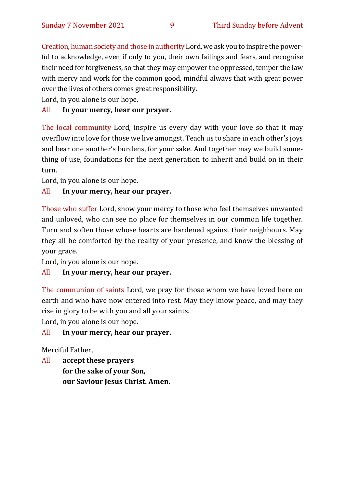Creation, human society and those in authority Lord, we ask you to inspire the powerful to acknowledge, even if only to you, their own failings and fears, and recognise their need for forgiveness, so that they may empower the oppressed, temper the law with mercy and work for the common good, mindful always that with great power over the lives of others comes great responsibility.

Lord, in you alone is our hope.

#### All **In your mercy, hear our prayer.**

The local community Lord, inspire us every day with your love so that it may overflow into love for those we live amongst. Teach us to share in each other's joys and bear one another's burdens, for your sake. And together may we build something of use, foundations for the next generation to inherit and build on in their turn.

Lord, in you alone is our hope.

#### All **In your mercy, hear our prayer.**

Those who suffer Lord, show your mercy to those who feel themselves unwanted and unloved, who can see no place for themselves in our common life together. Turn and soften those whose hearts are hardened against their neighbours. May they all be comforted by the reality of your presence, and know the blessing of your grace.

Lord, in you alone is our hope.

#### All **In your mercy, hear our prayer.**

The communion of saints Lord, we pray for those whom we have loved here on earth and who have now entered into rest. May they know peace, and may they rise in glory to be with you and all your saints.

Lord, in you alone is our hope.

All **In your mercy, hear our prayer.**

Merciful Father,

All **accept these prayers for the sake of your Son, our Saviour Jesus Christ. Amen.**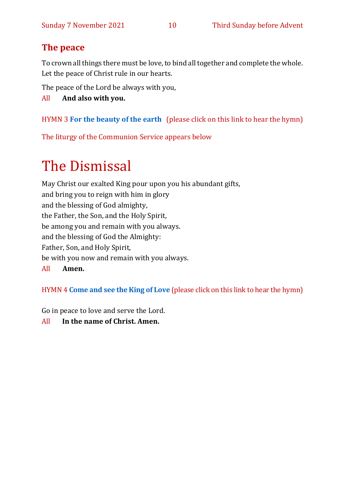# **The peace**

To crown all things there must be love, to bind all together and complete the whole. Let the peace of Christ rule in our hearts.

The peace of the Lord be always with you,

All **And also with you.**

## HYMN 3 **[For the beauty of the earth](https://www.youtube.com/watch?v=olbOTeR0dlY)** (please click on this link to hear the hymn)

The liturgy of the Communion Service appears below

# The Dismissal

May Christ our exalted King pour upon you his abundant gifts, and bring you to reign with him in glory and the blessing of God almighty, the Father, the Son, and the Holy Spirit, be among you and remain with you always. and the blessing of God the Almighty: Father, Son, and Holy Spirit, be with you now and remain with you always. All **Amen.**

HYMN 4 **[Come and see the King of Love](https://www.youtube.com/watch?v=Vz9rgVEm2WY)** (please click on this link to hear the hymn)

Go in peace to love and serve the Lord.

#### All **In the name of Christ. Amen.**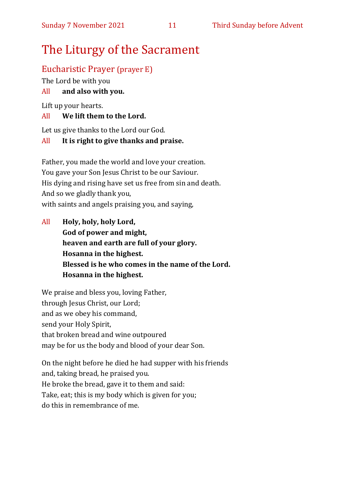# The Liturgy of the Sacrament

# Eucharistic Prayer (prayer E)

The Lord be with you

## All **and also with you.**

Lift up your hearts.

#### All **We lift them to the Lord.**

Let us give thanks to the Lord our God.

#### All **It is right to give thanks and praise.**

Father, you made the world and love your creation. You gave your Son Jesus Christ to be our Saviour. His dying and rising have set us free from sin and death. And so we gladly thank you, with saints and angels praising you, and saying,

All **Holy, holy, holy Lord, God of power and might, heaven and earth are full of your glory. Hosanna in the highest. Blessed is he who comes in the name of the Lord. Hosanna in the highest.**

We praise and bless you, loving Father, through Jesus Christ, our Lord; and as we obey his command, send your Holy Spirit, that broken bread and wine outpoured may be for us the body and blood of your dear Son.

On the night before he died he had supper with his friends and, taking bread, he praised you. He broke the bread, gave it to them and said: Take, eat; this is my body which is given for you; do this in remembrance of me.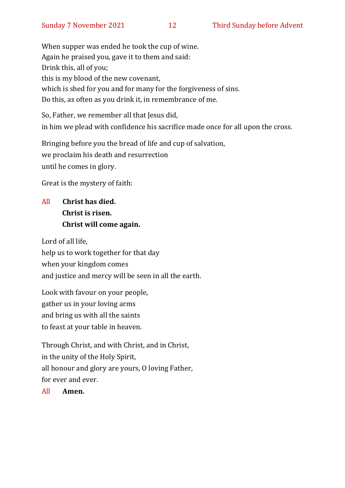When supper was ended he took the cup of wine. Again he praised you, gave it to them and said: Drink this, all of you; this is my blood of the new covenant, which is shed for you and for many for the forgiveness of sins. Do this, as often as you drink it, in remembrance of me.

So, Father, we remember all that Jesus did, in him we plead with confidence his sacrifice made once for all upon the cross.

Bringing before you the bread of life and cup of salvation, we proclaim his death and resurrection until he comes in glory.

Great is the mystery of faith:

# All **Christ has died. Christ is risen. Christ will come again.**

Lord of all life, help us to work together for that day when your kingdom comes and justice and mercy will be seen in all the earth.

Look with favour on your people, gather us in your loving arms and bring us with all the saints to feast at your table in heaven.

Through Christ, and with Christ, and in Christ, in the unity of the Holy Spirit, all honour and glory are yours, O loving Father, for ever and ever.

All **Amen.**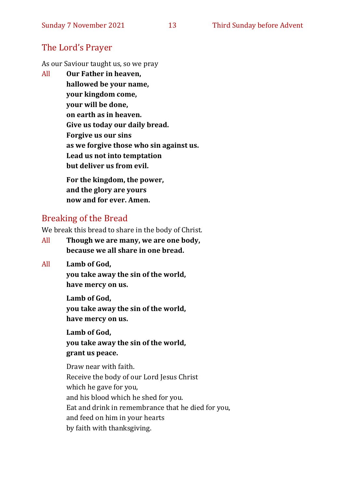# The Lord's Prayer

As our Saviour taught us, so we pray

All **Our Father in heaven, hallowed be your name, your kingdom come, your will be done, on earth as in heaven. Give us today our daily bread. Forgive us our sins as we forgive those who sin against us. Lead us not into temptation but deliver us from evil. For the kingdom, the power,** 

**and the glory are yours now and for ever. Amen.**

# Breaking of the Bread

We break this bread to share in the body of Christ.

- All **Though we are many, we are one body, because we all share in one bread.**
- All **Lamb of God,**

**you take away the sin of the world, have mercy on us.**

**Lamb of God, you take away the sin of the world, have mercy on us.**

**Lamb of God, you take away the sin of the world, grant us peace.**

Draw near with faith. Receive the body of our Lord Jesus Christ which he gave for you, and his blood which he shed for you. Eat and drink in remembrance that he died for you, and feed on him in your hearts by faith with thanksgiving.